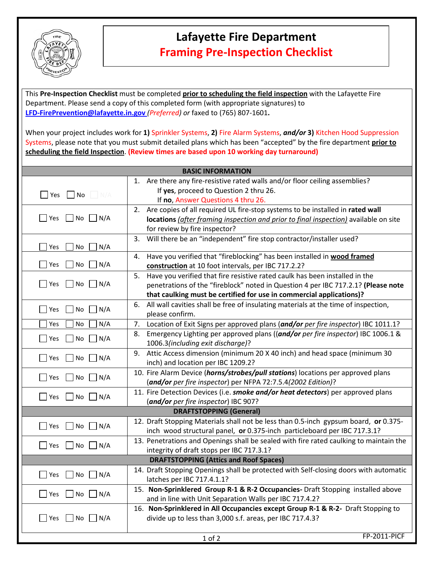

## **Lafayette Fire Department Framing Pre-Inspection Checklist**

This **Pre-Inspection Checklist** must be completed **prior to scheduling the field inspection** with the Lafayette Fire Department. Please send a copy of this completed form (with appropriate signatures) to **LFD-FirePrevention@lafayette.in.gov** *(Preferred) or* faxed to (765) 807‐1601**.**

When your project includes work for **1)** Sprinkler Systems, **2)** Fire Alarm Systems, *and/or* **3)** Kitchen Hood Suppression Systems, please note that you must submit detailed plans which has been "accepted" by the fire department **prior to scheduling the field Inspection**. **(Review times are based upon 10 working day turnaround)**

| 1. Are there any fire-resistive rated walls and/or floor ceiling assemblies?<br>If yes, proceed to Question 2 thru 26.<br>$\blacksquare$ No $\blacksquare$ N/A<br>Yes<br>If no, Answer Questions 4 thru 26.<br>2. Are copies of all required UL fire-stop systems to be installed in rated wall<br>$\vert$ Yes<br>No<br>$\vert N/A$<br>locations (after framing inspection and prior to final inspection) available on site<br>for review by fire inspector?<br>Will there be an "independent" fire stop contractor/installer used?<br>3.<br>N/A<br>$\rfloor$ Yes<br>No<br>Have you verified that "fireblocking" has been installed in wood framed<br>4.<br>No<br>N/A<br> Yes<br>construction at 10 foot intervals, per IBC 717.2.2?<br>Have you verified that fire resistive rated caulk has been installed in the<br>5.<br>$ $ Yes<br>N <sub>o</sub><br>$\mid N/A$<br>penetrations of the "fireblock" noted in Question 4 per IBC 717.2.1? (Please note<br>that caulking must be certified for use in commercial applications)?<br>All wall cavities shall be free of insulating materials at the time of inspection,<br>6.<br>$\Box$ Yes<br>No<br>N/A<br>please confirm.<br>Location of Exit Signs per approved plans (and/or per fire inspector) IBC 1011.1?<br>N/A<br>7.<br>Yes<br>No<br>Emergency Lighting per approved plans ((and/or per fire inspector) IBC 1006.1 &<br>8.<br>N/A<br>$\Box$ Yes<br>No<br>1006.3(including exit discharge)?<br>Attic Access dimension (minimum 20 X 40 inch) and head space (minimum 30<br>9.<br>No<br>$\blacksquare$ Yes<br>$\Box$ N/A<br>inch) and location per IBC 1209.2?<br>10. Fire Alarm Device (horns/strobes/pull stations) locations per approved plans<br> Yes<br>No<br>N/A<br>(and/or per fire inspector) per NFPA 72:7.5.4(2002 Edition)?<br>11. Fire Detection Devices (i.e. smoke and/or heat detectors) per approved plans<br>$\blacksquare$ Yes<br>No<br>$\blacksquare$ N/A<br>(and/or per fire inspector) IBC 907?<br><b>DRAFTSTOPPING (General)</b><br>12. Draft Stopping Materials shall not be less than 0.5-inch gypsum board, or 0.375-<br>No<br>$\Box$ Yes<br>$\Box$ N/A<br>inch wood structural panel, or 0.375-inch particleboard per IBC 717.3.1?<br>13. Penetrations and Openings shall be sealed with fire rated caulking to maintain the<br>$\Box$ Yes<br>No<br>N/A<br>integrity of draft stops per IBC 717.3.1?<br><b>DRAFTSTOPPING (Attics and Roof Spaces)</b><br>14. Draft Stopping Openings shall be protected with Self-closing doors with automatic<br>$\vert$ Yes<br>No<br>$\mid N/A$<br>latches per IBC 717.4.1.1?<br>15. Non-Sprinklered Group R-1 & R-2 Occupancies- Draft Stopping installed above<br>$\Box$ Yes<br>No<br>$\bigcup N/A$<br>and in line with Unit Separation Walls per IBC 717.4.2?<br>16. Non-Sprinklered in All Occupancies except Group R-1 & R-2- Draft Stopping to<br>divide up to less than 3,000 s.f. areas, per IBC 717.4.3?<br>$\Box$ Yes<br>No<br>$\blacksquare$ N/A<br><b>FP-2011-PICF</b><br>$1$ of $2$ | <b>BASIC INFORMATION</b> |  |  |  |  |
|----------------------------------------------------------------------------------------------------------------------------------------------------------------------------------------------------------------------------------------------------------------------------------------------------------------------------------------------------------------------------------------------------------------------------------------------------------------------------------------------------------------------------------------------------------------------------------------------------------------------------------------------------------------------------------------------------------------------------------------------------------------------------------------------------------------------------------------------------------------------------------------------------------------------------------------------------------------------------------------------------------------------------------------------------------------------------------------------------------------------------------------------------------------------------------------------------------------------------------------------------------------------------------------------------------------------------------------------------------------------------------------------------------------------------------------------------------------------------------------------------------------------------------------------------------------------------------------------------------------------------------------------------------------------------------------------------------------------------------------------------------------------------------------------------------------------------------------------------------------------------------------------------------------------------------------------------------------------------------------------------------------------------------------------------------------------------------------------------------------------------------------------------------------------------------------------------------------------------------------------------------------------------------------------------------------------------------------------------------------------------------------------------------------------------------------------------------------------------------------------------------------------------------------------------------------------------------------------------------------------------------------------------------------------------------------------------------------------------------------------------------------------------------------------------------------------------------------------------------------------------------------------------------------------------------------------------------------------------------------------------------------------|--------------------------|--|--|--|--|
|                                                                                                                                                                                                                                                                                                                                                                                                                                                                                                                                                                                                                                                                                                                                                                                                                                                                                                                                                                                                                                                                                                                                                                                                                                                                                                                                                                                                                                                                                                                                                                                                                                                                                                                                                                                                                                                                                                                                                                                                                                                                                                                                                                                                                                                                                                                                                                                                                                                                                                                                                                                                                                                                                                                                                                                                                                                                                                                                                                                                                      |                          |  |  |  |  |
|                                                                                                                                                                                                                                                                                                                                                                                                                                                                                                                                                                                                                                                                                                                                                                                                                                                                                                                                                                                                                                                                                                                                                                                                                                                                                                                                                                                                                                                                                                                                                                                                                                                                                                                                                                                                                                                                                                                                                                                                                                                                                                                                                                                                                                                                                                                                                                                                                                                                                                                                                                                                                                                                                                                                                                                                                                                                                                                                                                                                                      |                          |  |  |  |  |
|                                                                                                                                                                                                                                                                                                                                                                                                                                                                                                                                                                                                                                                                                                                                                                                                                                                                                                                                                                                                                                                                                                                                                                                                                                                                                                                                                                                                                                                                                                                                                                                                                                                                                                                                                                                                                                                                                                                                                                                                                                                                                                                                                                                                                                                                                                                                                                                                                                                                                                                                                                                                                                                                                                                                                                                                                                                                                                                                                                                                                      |                          |  |  |  |  |
|                                                                                                                                                                                                                                                                                                                                                                                                                                                                                                                                                                                                                                                                                                                                                                                                                                                                                                                                                                                                                                                                                                                                                                                                                                                                                                                                                                                                                                                                                                                                                                                                                                                                                                                                                                                                                                                                                                                                                                                                                                                                                                                                                                                                                                                                                                                                                                                                                                                                                                                                                                                                                                                                                                                                                                                                                                                                                                                                                                                                                      |                          |  |  |  |  |
|                                                                                                                                                                                                                                                                                                                                                                                                                                                                                                                                                                                                                                                                                                                                                                                                                                                                                                                                                                                                                                                                                                                                                                                                                                                                                                                                                                                                                                                                                                                                                                                                                                                                                                                                                                                                                                                                                                                                                                                                                                                                                                                                                                                                                                                                                                                                                                                                                                                                                                                                                                                                                                                                                                                                                                                                                                                                                                                                                                                                                      |                          |  |  |  |  |
|                                                                                                                                                                                                                                                                                                                                                                                                                                                                                                                                                                                                                                                                                                                                                                                                                                                                                                                                                                                                                                                                                                                                                                                                                                                                                                                                                                                                                                                                                                                                                                                                                                                                                                                                                                                                                                                                                                                                                                                                                                                                                                                                                                                                                                                                                                                                                                                                                                                                                                                                                                                                                                                                                                                                                                                                                                                                                                                                                                                                                      |                          |  |  |  |  |
|                                                                                                                                                                                                                                                                                                                                                                                                                                                                                                                                                                                                                                                                                                                                                                                                                                                                                                                                                                                                                                                                                                                                                                                                                                                                                                                                                                                                                                                                                                                                                                                                                                                                                                                                                                                                                                                                                                                                                                                                                                                                                                                                                                                                                                                                                                                                                                                                                                                                                                                                                                                                                                                                                                                                                                                                                                                                                                                                                                                                                      |                          |  |  |  |  |
|                                                                                                                                                                                                                                                                                                                                                                                                                                                                                                                                                                                                                                                                                                                                                                                                                                                                                                                                                                                                                                                                                                                                                                                                                                                                                                                                                                                                                                                                                                                                                                                                                                                                                                                                                                                                                                                                                                                                                                                                                                                                                                                                                                                                                                                                                                                                                                                                                                                                                                                                                                                                                                                                                                                                                                                                                                                                                                                                                                                                                      |                          |  |  |  |  |
|                                                                                                                                                                                                                                                                                                                                                                                                                                                                                                                                                                                                                                                                                                                                                                                                                                                                                                                                                                                                                                                                                                                                                                                                                                                                                                                                                                                                                                                                                                                                                                                                                                                                                                                                                                                                                                                                                                                                                                                                                                                                                                                                                                                                                                                                                                                                                                                                                                                                                                                                                                                                                                                                                                                                                                                                                                                                                                                                                                                                                      |                          |  |  |  |  |
|                                                                                                                                                                                                                                                                                                                                                                                                                                                                                                                                                                                                                                                                                                                                                                                                                                                                                                                                                                                                                                                                                                                                                                                                                                                                                                                                                                                                                                                                                                                                                                                                                                                                                                                                                                                                                                                                                                                                                                                                                                                                                                                                                                                                                                                                                                                                                                                                                                                                                                                                                                                                                                                                                                                                                                                                                                                                                                                                                                                                                      |                          |  |  |  |  |
|                                                                                                                                                                                                                                                                                                                                                                                                                                                                                                                                                                                                                                                                                                                                                                                                                                                                                                                                                                                                                                                                                                                                                                                                                                                                                                                                                                                                                                                                                                                                                                                                                                                                                                                                                                                                                                                                                                                                                                                                                                                                                                                                                                                                                                                                                                                                                                                                                                                                                                                                                                                                                                                                                                                                                                                                                                                                                                                                                                                                                      |                          |  |  |  |  |
|                                                                                                                                                                                                                                                                                                                                                                                                                                                                                                                                                                                                                                                                                                                                                                                                                                                                                                                                                                                                                                                                                                                                                                                                                                                                                                                                                                                                                                                                                                                                                                                                                                                                                                                                                                                                                                                                                                                                                                                                                                                                                                                                                                                                                                                                                                                                                                                                                                                                                                                                                                                                                                                                                                                                                                                                                                                                                                                                                                                                                      |                          |  |  |  |  |
|                                                                                                                                                                                                                                                                                                                                                                                                                                                                                                                                                                                                                                                                                                                                                                                                                                                                                                                                                                                                                                                                                                                                                                                                                                                                                                                                                                                                                                                                                                                                                                                                                                                                                                                                                                                                                                                                                                                                                                                                                                                                                                                                                                                                                                                                                                                                                                                                                                                                                                                                                                                                                                                                                                                                                                                                                                                                                                                                                                                                                      |                          |  |  |  |  |
|                                                                                                                                                                                                                                                                                                                                                                                                                                                                                                                                                                                                                                                                                                                                                                                                                                                                                                                                                                                                                                                                                                                                                                                                                                                                                                                                                                                                                                                                                                                                                                                                                                                                                                                                                                                                                                                                                                                                                                                                                                                                                                                                                                                                                                                                                                                                                                                                                                                                                                                                                                                                                                                                                                                                                                                                                                                                                                                                                                                                                      |                          |  |  |  |  |
|                                                                                                                                                                                                                                                                                                                                                                                                                                                                                                                                                                                                                                                                                                                                                                                                                                                                                                                                                                                                                                                                                                                                                                                                                                                                                                                                                                                                                                                                                                                                                                                                                                                                                                                                                                                                                                                                                                                                                                                                                                                                                                                                                                                                                                                                                                                                                                                                                                                                                                                                                                                                                                                                                                                                                                                                                                                                                                                                                                                                                      |                          |  |  |  |  |
|                                                                                                                                                                                                                                                                                                                                                                                                                                                                                                                                                                                                                                                                                                                                                                                                                                                                                                                                                                                                                                                                                                                                                                                                                                                                                                                                                                                                                                                                                                                                                                                                                                                                                                                                                                                                                                                                                                                                                                                                                                                                                                                                                                                                                                                                                                                                                                                                                                                                                                                                                                                                                                                                                                                                                                                                                                                                                                                                                                                                                      |                          |  |  |  |  |
|                                                                                                                                                                                                                                                                                                                                                                                                                                                                                                                                                                                                                                                                                                                                                                                                                                                                                                                                                                                                                                                                                                                                                                                                                                                                                                                                                                                                                                                                                                                                                                                                                                                                                                                                                                                                                                                                                                                                                                                                                                                                                                                                                                                                                                                                                                                                                                                                                                                                                                                                                                                                                                                                                                                                                                                                                                                                                                                                                                                                                      |                          |  |  |  |  |
|                                                                                                                                                                                                                                                                                                                                                                                                                                                                                                                                                                                                                                                                                                                                                                                                                                                                                                                                                                                                                                                                                                                                                                                                                                                                                                                                                                                                                                                                                                                                                                                                                                                                                                                                                                                                                                                                                                                                                                                                                                                                                                                                                                                                                                                                                                                                                                                                                                                                                                                                                                                                                                                                                                                                                                                                                                                                                                                                                                                                                      |                          |  |  |  |  |
|                                                                                                                                                                                                                                                                                                                                                                                                                                                                                                                                                                                                                                                                                                                                                                                                                                                                                                                                                                                                                                                                                                                                                                                                                                                                                                                                                                                                                                                                                                                                                                                                                                                                                                                                                                                                                                                                                                                                                                                                                                                                                                                                                                                                                                                                                                                                                                                                                                                                                                                                                                                                                                                                                                                                                                                                                                                                                                                                                                                                                      |                          |  |  |  |  |
|                                                                                                                                                                                                                                                                                                                                                                                                                                                                                                                                                                                                                                                                                                                                                                                                                                                                                                                                                                                                                                                                                                                                                                                                                                                                                                                                                                                                                                                                                                                                                                                                                                                                                                                                                                                                                                                                                                                                                                                                                                                                                                                                                                                                                                                                                                                                                                                                                                                                                                                                                                                                                                                                                                                                                                                                                                                                                                                                                                                                                      |                          |  |  |  |  |
|                                                                                                                                                                                                                                                                                                                                                                                                                                                                                                                                                                                                                                                                                                                                                                                                                                                                                                                                                                                                                                                                                                                                                                                                                                                                                                                                                                                                                                                                                                                                                                                                                                                                                                                                                                                                                                                                                                                                                                                                                                                                                                                                                                                                                                                                                                                                                                                                                                                                                                                                                                                                                                                                                                                                                                                                                                                                                                                                                                                                                      |                          |  |  |  |  |
|                                                                                                                                                                                                                                                                                                                                                                                                                                                                                                                                                                                                                                                                                                                                                                                                                                                                                                                                                                                                                                                                                                                                                                                                                                                                                                                                                                                                                                                                                                                                                                                                                                                                                                                                                                                                                                                                                                                                                                                                                                                                                                                                                                                                                                                                                                                                                                                                                                                                                                                                                                                                                                                                                                                                                                                                                                                                                                                                                                                                                      |                          |  |  |  |  |
|                                                                                                                                                                                                                                                                                                                                                                                                                                                                                                                                                                                                                                                                                                                                                                                                                                                                                                                                                                                                                                                                                                                                                                                                                                                                                                                                                                                                                                                                                                                                                                                                                                                                                                                                                                                                                                                                                                                                                                                                                                                                                                                                                                                                                                                                                                                                                                                                                                                                                                                                                                                                                                                                                                                                                                                                                                                                                                                                                                                                                      |                          |  |  |  |  |
|                                                                                                                                                                                                                                                                                                                                                                                                                                                                                                                                                                                                                                                                                                                                                                                                                                                                                                                                                                                                                                                                                                                                                                                                                                                                                                                                                                                                                                                                                                                                                                                                                                                                                                                                                                                                                                                                                                                                                                                                                                                                                                                                                                                                                                                                                                                                                                                                                                                                                                                                                                                                                                                                                                                                                                                                                                                                                                                                                                                                                      |                          |  |  |  |  |
|                                                                                                                                                                                                                                                                                                                                                                                                                                                                                                                                                                                                                                                                                                                                                                                                                                                                                                                                                                                                                                                                                                                                                                                                                                                                                                                                                                                                                                                                                                                                                                                                                                                                                                                                                                                                                                                                                                                                                                                                                                                                                                                                                                                                                                                                                                                                                                                                                                                                                                                                                                                                                                                                                                                                                                                                                                                                                                                                                                                                                      |                          |  |  |  |  |
|                                                                                                                                                                                                                                                                                                                                                                                                                                                                                                                                                                                                                                                                                                                                                                                                                                                                                                                                                                                                                                                                                                                                                                                                                                                                                                                                                                                                                                                                                                                                                                                                                                                                                                                                                                                                                                                                                                                                                                                                                                                                                                                                                                                                                                                                                                                                                                                                                                                                                                                                                                                                                                                                                                                                                                                                                                                                                                                                                                                                                      |                          |  |  |  |  |
|                                                                                                                                                                                                                                                                                                                                                                                                                                                                                                                                                                                                                                                                                                                                                                                                                                                                                                                                                                                                                                                                                                                                                                                                                                                                                                                                                                                                                                                                                                                                                                                                                                                                                                                                                                                                                                                                                                                                                                                                                                                                                                                                                                                                                                                                                                                                                                                                                                                                                                                                                                                                                                                                                                                                                                                                                                                                                                                                                                                                                      |                          |  |  |  |  |
|                                                                                                                                                                                                                                                                                                                                                                                                                                                                                                                                                                                                                                                                                                                                                                                                                                                                                                                                                                                                                                                                                                                                                                                                                                                                                                                                                                                                                                                                                                                                                                                                                                                                                                                                                                                                                                                                                                                                                                                                                                                                                                                                                                                                                                                                                                                                                                                                                                                                                                                                                                                                                                                                                                                                                                                                                                                                                                                                                                                                                      |                          |  |  |  |  |
|                                                                                                                                                                                                                                                                                                                                                                                                                                                                                                                                                                                                                                                                                                                                                                                                                                                                                                                                                                                                                                                                                                                                                                                                                                                                                                                                                                                                                                                                                                                                                                                                                                                                                                                                                                                                                                                                                                                                                                                                                                                                                                                                                                                                                                                                                                                                                                                                                                                                                                                                                                                                                                                                                                                                                                                                                                                                                                                                                                                                                      |                          |  |  |  |  |
|                                                                                                                                                                                                                                                                                                                                                                                                                                                                                                                                                                                                                                                                                                                                                                                                                                                                                                                                                                                                                                                                                                                                                                                                                                                                                                                                                                                                                                                                                                                                                                                                                                                                                                                                                                                                                                                                                                                                                                                                                                                                                                                                                                                                                                                                                                                                                                                                                                                                                                                                                                                                                                                                                                                                                                                                                                                                                                                                                                                                                      |                          |  |  |  |  |
|                                                                                                                                                                                                                                                                                                                                                                                                                                                                                                                                                                                                                                                                                                                                                                                                                                                                                                                                                                                                                                                                                                                                                                                                                                                                                                                                                                                                                                                                                                                                                                                                                                                                                                                                                                                                                                                                                                                                                                                                                                                                                                                                                                                                                                                                                                                                                                                                                                                                                                                                                                                                                                                                                                                                                                                                                                                                                                                                                                                                                      |                          |  |  |  |  |
|                                                                                                                                                                                                                                                                                                                                                                                                                                                                                                                                                                                                                                                                                                                                                                                                                                                                                                                                                                                                                                                                                                                                                                                                                                                                                                                                                                                                                                                                                                                                                                                                                                                                                                                                                                                                                                                                                                                                                                                                                                                                                                                                                                                                                                                                                                                                                                                                                                                                                                                                                                                                                                                                                                                                                                                                                                                                                                                                                                                                                      |                          |  |  |  |  |
|                                                                                                                                                                                                                                                                                                                                                                                                                                                                                                                                                                                                                                                                                                                                                                                                                                                                                                                                                                                                                                                                                                                                                                                                                                                                                                                                                                                                                                                                                                                                                                                                                                                                                                                                                                                                                                                                                                                                                                                                                                                                                                                                                                                                                                                                                                                                                                                                                                                                                                                                                                                                                                                                                                                                                                                                                                                                                                                                                                                                                      |                          |  |  |  |  |
|                                                                                                                                                                                                                                                                                                                                                                                                                                                                                                                                                                                                                                                                                                                                                                                                                                                                                                                                                                                                                                                                                                                                                                                                                                                                                                                                                                                                                                                                                                                                                                                                                                                                                                                                                                                                                                                                                                                                                                                                                                                                                                                                                                                                                                                                                                                                                                                                                                                                                                                                                                                                                                                                                                                                                                                                                                                                                                                                                                                                                      |                          |  |  |  |  |
|                                                                                                                                                                                                                                                                                                                                                                                                                                                                                                                                                                                                                                                                                                                                                                                                                                                                                                                                                                                                                                                                                                                                                                                                                                                                                                                                                                                                                                                                                                                                                                                                                                                                                                                                                                                                                                                                                                                                                                                                                                                                                                                                                                                                                                                                                                                                                                                                                                                                                                                                                                                                                                                                                                                                                                                                                                                                                                                                                                                                                      |                          |  |  |  |  |
|                                                                                                                                                                                                                                                                                                                                                                                                                                                                                                                                                                                                                                                                                                                                                                                                                                                                                                                                                                                                                                                                                                                                                                                                                                                                                                                                                                                                                                                                                                                                                                                                                                                                                                                                                                                                                                                                                                                                                                                                                                                                                                                                                                                                                                                                                                                                                                                                                                                                                                                                                                                                                                                                                                                                                                                                                                                                                                                                                                                                                      |                          |  |  |  |  |
|                                                                                                                                                                                                                                                                                                                                                                                                                                                                                                                                                                                                                                                                                                                                                                                                                                                                                                                                                                                                                                                                                                                                                                                                                                                                                                                                                                                                                                                                                                                                                                                                                                                                                                                                                                                                                                                                                                                                                                                                                                                                                                                                                                                                                                                                                                                                                                                                                                                                                                                                                                                                                                                                                                                                                                                                                                                                                                                                                                                                                      |                          |  |  |  |  |